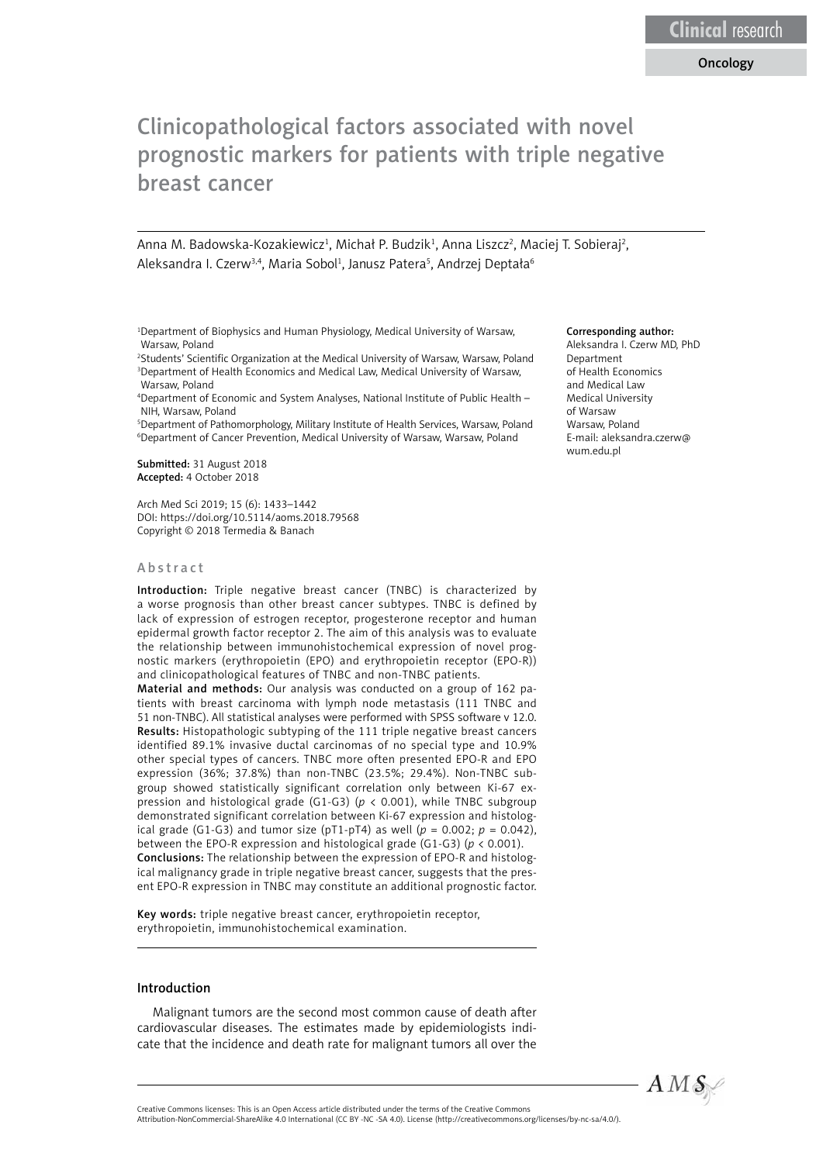# Clinicopathological factors associated with novel prognostic markers for patients with triple negative breast cancer

Anna M. Badowska-Kozakiewicz<sup>1</sup>, Michał P. Budzik<sup>1</sup>, Anna Liszcz<sup>2</sup>, Maciej T. Sobieraj<sup>2</sup>, Aleksandra I. Czerw<sup>3,4</sup>, Maria Sobol<sup>1</sup>, Janusz Patera<sup>s</sup>, Andrzej Deptała<sup>6</sup>

1 Department of Biophysics and Human Physiology, Medical University of Warsaw, Warsaw, Poland

2 Students' Scientific Organization at the Medical University of Warsaw, Warsaw, Poland 3 Department of Health Economics and Medical Law, Medical University of Warsaw, Warsaw, Poland

4 Department of Economic and System Analyses, National Institute of Public Health – NIH, Warsaw, Poland

5 Department of Pathomorphology, Military Institute of Health Services, Warsaw, Poland 6 Department of Cancer Prevention, Medical University of Warsaw, Warsaw, Poland

Submitted: 31 August 2018 Accepted: 4 October 2018

Arch Med Sci 2019; 15 (6): 1433–1442 DOI: https://doi.org/10.5114/aoms.2018.79568 Copyright © 2018 Termedia & Banach

#### Abstract

Introduction: Triple negative breast cancer (TNBC) is characterized by a worse prognosis than other breast cancer subtypes. TNBC is defined by lack of expression of estrogen receptor, progesterone receptor and human epidermal growth factor receptor 2. The aim of this analysis was to evaluate the relationship between immunohistochemical expression of novel prognostic markers (erythropoietin (EPO) and erythropoietin receptor (EPO-R)) and clinicopathological features of TNBC and non-TNBC patients.

Material and methods: Our analysis was conducted on a group of 162 patients with breast carcinoma with lymph node metastasis (111 TNBC and 51 non-TNBC). All statistical analyses were performed with SPSS software v 12.0. Results: Histopathologic subtyping of the 111 triple negative breast cancers identified 89.1% invasive ductal carcinomas of no special type and 10.9% other special types of cancers. TNBC more often presented EPO-R and EPO expression (36%; 37.8%) than non-TNBC (23.5%; 29.4%). Non-TNBC subgroup showed statistically significant correlation only between Ki-67 expression and histological grade (G1-G3) (*p* < 0.001), while TNBC subgroup demonstrated significant correlation between Ki-67 expression and histological grade (G1-G3) and tumor size ( $pT1-pT4$ ) as well ( $p = 0.002$ ;  $p = 0.042$ ), between the EPO-R expression and histological grade (G1-G3) (*p* < 0.001). Conclusions: The relationship between the expression of EPO-R and histological malignancy grade in triple negative breast cancer, suggests that the present EPO-R expression in TNBC may constitute an additional prognostic factor.

Key words: triple negative breast cancer, erythropoietin receptor, erythropoietin, immunohistochemical examination.

## Introduction

Malignant tumors are the second most common cause of death after cardiovascular diseases. The estimates made by epidemiologists indicate that the incidence and death rate for malignant tumors all over the

#### Corresponding author:

Aleksandra I. Czerw MD, PhD Department of Health Economics and Medical Law Medical University of Warsaw Warsaw, Poland E-mail: aleksandra.czerw@ wum edu.pl

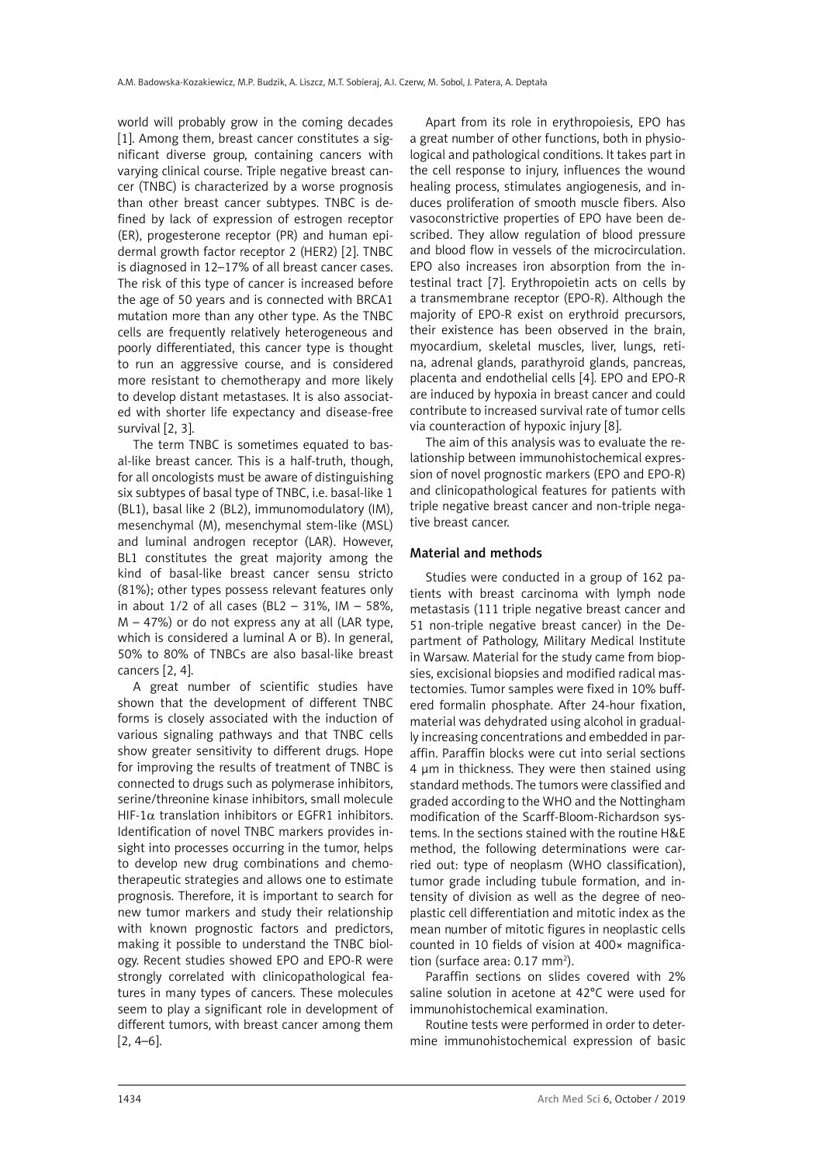world will probably grow in the coming decades [1]. Among them, breast cancer constitutes a significant diverse group, containing cancers with varying clinical course. Triple negative breast cancer (TNBC) is characterized by a worse prognosis than other breast cancer subtypes. TNBC is defined by lack of expression of estrogen receptor (ER), progesterone receptor (PR) and human epidermal growth factor receptor 2 (HER2) [2]. TNBC is diagnosed in 12–17% of all breast cancer cases. The risk of this type of cancer is increased before the age of 50 years and is connected with BRCA1 mutation more than any other type. As the TNBC cells are frequently relatively heterogeneous and poorly differentiated, this cancer type is thought to run an aggressive course, and is considered more resistant to chemotherapy and more likely to develop distant metastases. It is also associated with shorter life expectancy and disease-free survival [2, 3].

The term TNBC is sometimes equated to basal-like breast cancer. This is a half-truth, though, for all oncologists must be aware of distinguishing six subtypes of basal type of TNBC, i.e. basal-like 1 (BL1), basal like 2 (BL2), immunomodulatory (IM), mesenchymal (M), mesenchymal stem-like (MSL) and luminal androgen receptor (LAR). However, BL1 constitutes the great majority among the kind of basal-like breast cancer sensu stricto (81%); other types possess relevant features only in about 1/2 of all cases (BL2 – 31%, IM – 58%, M – 47%) or do not express any at all (LAR type, which is considered a luminal A or B). In general, 50% to 80% of TNBCs are also basal-like breast cancers [2, 4].

A great number of scientific studies have shown that the development of different TNBC forms is closely associated with the induction of various signaling pathways and that TNBC cells show greater sensitivity to different drugs. Hope for improving the results of treatment of TNBC is connected to drugs such as polymerase inhibitors, serine/threonine kinase inhibitors, small molecule HIF-1 $\alpha$  translation inhibitors or EGFR1 inhibitors. Identification of novel TNBC markers provides insight into processes occurring in the tumor, helps to develop new drug combinations and chemotherapeutic strategies and allows one to estimate prognosis. Therefore, it is important to search for new tumor markers and study their relationship with known prognostic factors and predictors, making it possible to understand the TNBC biology. Recent studies showed EPO and EPO-R were strongly correlated with clinicopathological features in many types of cancers. These molecules seem to play a significant role in development of different tumors, with breast cancer among them [2, 4–6].

Apart from its role in erythropoiesis, EPO has a great number of other functions, both in physiological and pathological conditions. It takes part in the cell response to injury, influences the wound healing process, stimulates angiogenesis, and induces proliferation of smooth muscle fibers. Also vasoconstrictive properties of EPO have been described. They allow regulation of blood pressure and blood flow in vessels of the microcirculation. EPO also increases iron absorption from the intestinal tract [7]. Erythropoietin acts on cells by a transmembrane receptor (EPO-R). Although the majority of EPO-R exist on erythroid precursors, their existence has been observed in the brain, myocardium, skeletal muscles, liver, lungs, retina, adrenal glands, parathyroid glands, pancreas, placenta and endothelial cells [4]. EPO and EPO-R are induced by hypoxia in breast cancer and could contribute to increased survival rate of tumor cells via counteraction of hypoxic injury [8].

The aim of this analysis was to evaluate the relationship between immunohistochemical expression of novel prognostic markers (EPO and EPO-R) and clinicopathological features for patients with triple negative breast cancer and non-triple negative breast cancer.

# Material and methods

Studies were conducted in a group of 162 patients with breast carcinoma with lymph node metastasis (111 triple negative breast cancer and 51 non-triple negative breast cancer) in the Department of Pathology, Military Medical Institute in Warsaw. Material for the study came from biopsies, excisional biopsies and modified radical mastectomies. Tumor samples were fixed in 10% buffered formalin phosphate. After 24-hour fixation, material was dehydrated using alcohol in gradually increasing concentrations and embedded in paraffin. Paraffin blocks were cut into serial sections 4 µm in thickness. They were then stained using standard methods. The tumors were classified and graded according to the WHO and the Nottingham modification of the Scarff-Bloom-Richardson systems. In the sections stained with the routine H&E method, the following determinations were carried out: type of neoplasm (WHO classification), tumor grade including tubule formation, and intensity of division as well as the degree of neoplastic cell differentiation and mitotic index as the mean number of mitotic figures in neoplastic cells counted in 10 fields of vision at 400× magnification (surface area:  $0.17$  mm<sup>2</sup>).

Paraffin sections on slides covered with 2% saline solution in acetone at 42°C were used for immunohistochemical examination.

Routine tests were performed in order to determine immunohistochemical expression of basic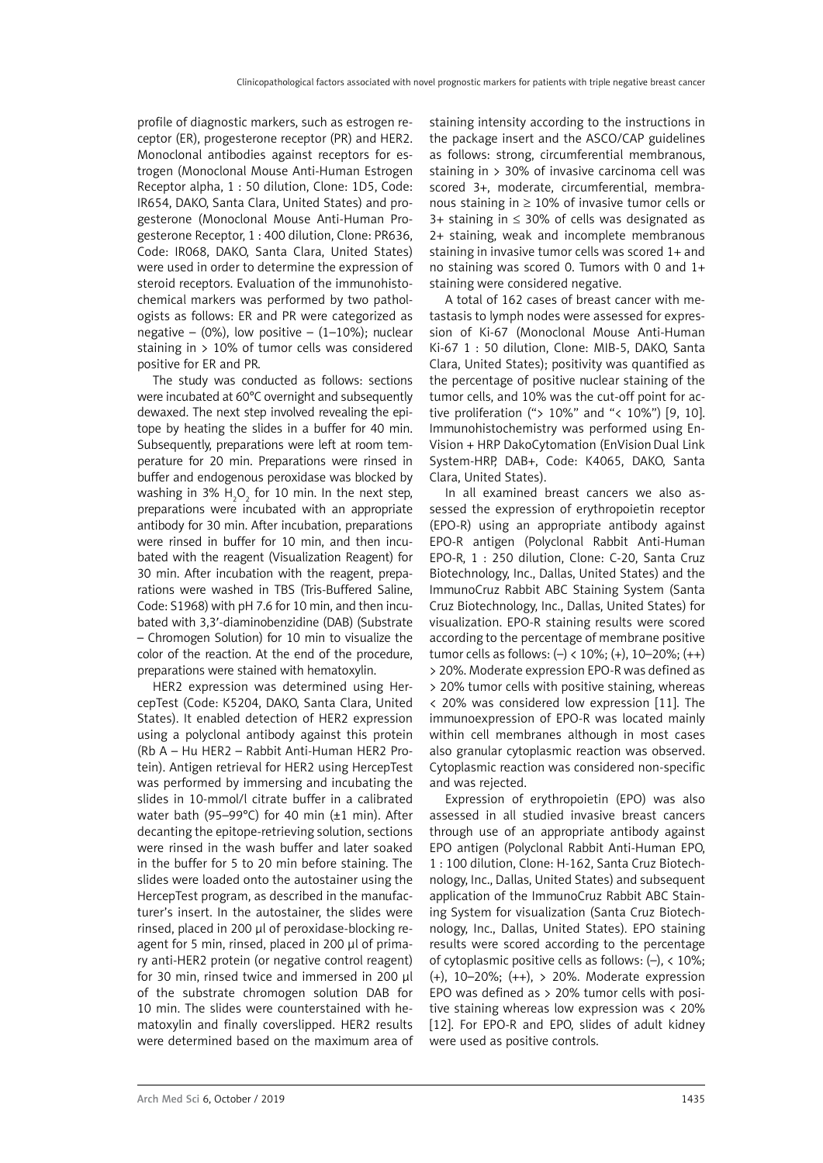profile of diagnostic markers, such as estrogen receptor (ER), progesterone receptor (PR) and HER2. Monoclonal antibodies against receptors for estrogen (Monoclonal Mouse Anti-Human Estrogen Receptor alpha, 1 : 50 dilution, Clone: 1D5, Code: IR654, DAKO, Santa Clara, United States) and progesterone (Monoclonal Mouse Anti-Human Progesterone Receptor, 1 : 400 dilution, Clone: PR636, Code: IR068, DAKO, Santa Clara, United States) were used in order to determine the expression of steroid receptors. Evaluation of the immunohistochemical markers was performed by two pathologists as follows: ER and PR were categorized as negative – (0%), low positive –  $(1-10\%)$ ; nuclear staining in  $> 10\%$  of tumor cells was considered positive for ER and PR.

The study was conducted as follows: sections were incubated at 60°C overnight and subsequently dewaxed. The next step involved revealing the epitope by heating the slides in a buffer for 40 min. Subsequently, preparations were left at room temperature for 20 min. Preparations were rinsed in buffer and endogenous peroxidase was blocked by washing in 3%  $H_2O_2$  for 10 min. In the next step, preparations were incubated with an appropriate antibody for 30 min. After incubation, preparations were rinsed in buffer for 10 min, and then incubated with the reagent (Visualization Reagent) for 30 min. After incubation with the reagent, preparations were washed in TBS (Tris-Buffered Saline, Code: S1968) with pH 7.6 for 10 min, and then incubated with 3,3′-diaminobenzidine (DAB) (Substrate – Chromogen Solution) for 10 min to visualize the color of the reaction. At the end of the procedure, preparations were stained with hematoxylin.

HER2 expression was determined using HercepTest (Code: K5204, DAKO, Santa Clara, United States). It enabled detection of HER2 expression using a polyclonal antibody against this protein (Rb A – Hu HER2 – Rabbit Anti-Human HER2 Protein). Antigen retrieval for HER2 using HercepTest was performed by immersing and incubating the slides in 10-mmol/l citrate buffer in a calibrated water bath (95–99°C) for 40 min (±1 min). After decanting the epitope-retrieving solution, sections were rinsed in the wash buffer and later soaked in the buffer for 5 to 20 min before staining. The slides were loaded onto the autostainer using the HercepTest program, as described in the manufacturer's insert. In the autostainer, the slides were rinsed, placed in 200 µl of peroxidase-blocking reagent for 5 min, rinsed, placed in 200 µl of primary anti-HER2 protein (or negative control reagent) for 30 min, rinsed twice and immersed in 200 ul of the substrate chromogen solution DAB for 10 min. The slides were counterstained with hematoxylin and finally coverslipped. HER2 results were determined based on the maximum area of staining intensity according to the instructions in the package insert and the ASCO/CAP guidelines as follows: strong, circumferential membranous, staining in > 30% of invasive carcinoma cell was scored 3+, moderate, circumferential, membranous staining in ≥ 10% of invasive tumor cells or 3+ staining in ≤ 30% of cells was designated as 2+ staining, weak and incomplete membranous staining in invasive tumor cells was scored 1+ and no staining was scored 0. Tumors with 0 and 1+ staining were considered negative.

A total of 162 cases of breast cancer with metastasis to lymph nodes were assessed for expression of Ki-67 (Monoclonal Mouse Anti-Human Ki-67 1 : 50 dilution, Clone: MIB-5, DAKO, Santa Clara, United States); positivity was quantified as the percentage of positive nuclear staining of the tumor cells, and 10% was the cut-off point for active proliferation ("> 10%" and "< 10%") [9, 10]. Immunohistochemistry was performed using En-Vision + HRP DakoCytomation (EnVision Dual Link System-HRP, DAB+, Code: K4065, DAKO, Santa Clara, United States).

In all examined breast cancers we also assessed the expression of erythropoietin receptor (EPO-R) using an appropriate antibody against EPO-R antigen (Polyclonal Rabbit Anti-Human EPO-R, 1 : 250 dilution, Clone: C-20, Santa Cruz Biotechnology, Inc., Dallas, United States) and the ImmunoCruz Rabbit ABC Staining System (Santa Cruz Biotechnology, Inc., Dallas, United States) for visualization. EPO-R staining results were scored according to the percentage of membrane positive tumor cells as follows:  $(-)$  < 10%;  $(+)$ , 10–20%;  $(+)$ > 20%. Moderate expression EPO-R was defined as > 20% tumor cells with positive staining, whereas < 20% was considered low expression [11]. The immunoexpression of EPO-R was located mainly within cell membranes although in most cases also granular cytoplasmic reaction was observed. Cytoplasmic reaction was considered non-specific and was rejected.

Expression of erythropoietin (EPO) was also assessed in all studied invasive breast cancers through use of an appropriate antibody against EPO antigen (Polyclonal Rabbit Anti-Human EPO, 1 : 100 dilution, Clone: H-162, Santa Cruz Biotechnology, Inc., Dallas, United States) and subsequent application of the ImmunoCruz Rabbit ABC Staining System for visualization (Santa Cruz Biotechnology, Inc., Dallas, United States). EPO staining results were scored according to the percentage of cytoplasmic positive cells as follows: (–), < 10%; (+), 10–20%; (++), > 20%. Moderate expression EPO was defined as > 20% tumor cells with positive staining whereas low expression was < 20% [12]. For EPO-R and EPO, slides of adult kidney were used as positive controls.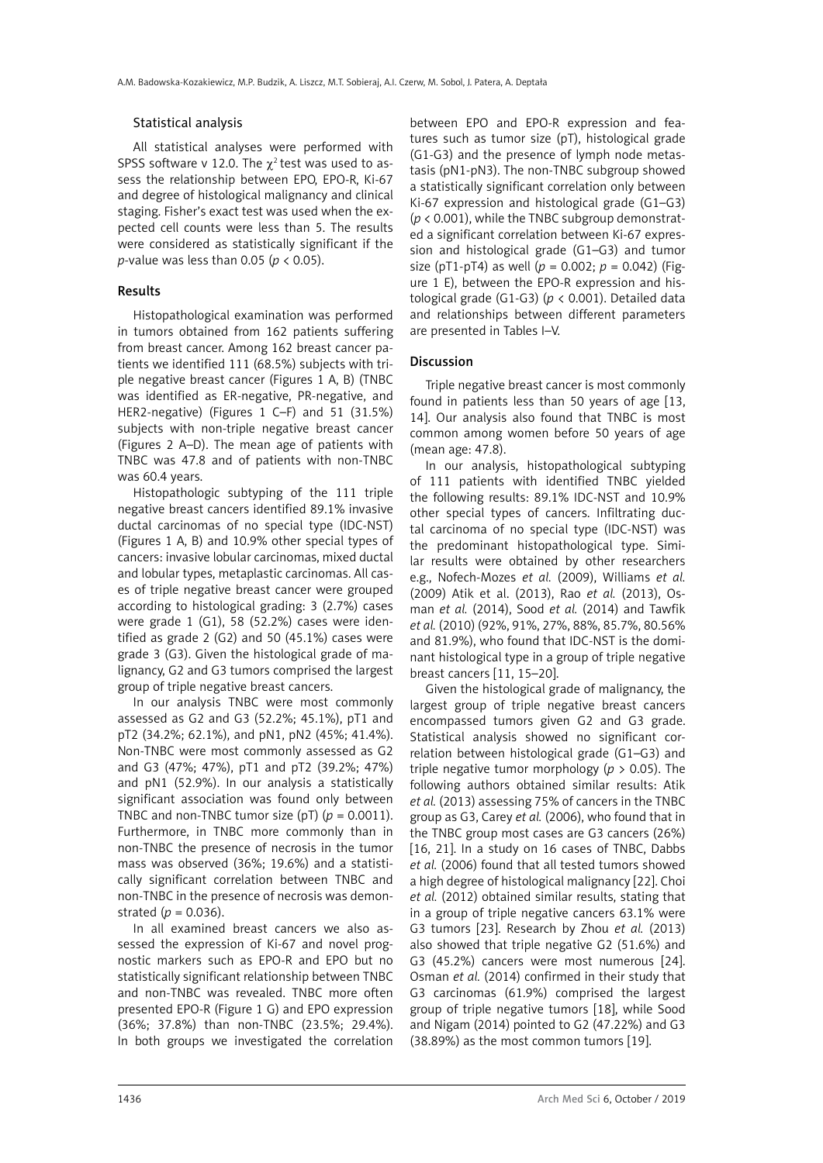## Statistical analysis

All statistical analyses were performed with SPSS software v 12.0. The  $\gamma^2$  test was used to assess the relationship between EPO, EPO-R, Ki-67 and degree of histological malignancy and clinical staging. Fisher's exact test was used when the expected cell counts were less than 5. The results were considered as statistically significant if the *p*-value was less than 0.05 (*p* < 0.05).

#### Results

Histopathological examination was performed in tumors obtained from 162 patients suffering from breast cancer. Among 162 breast cancer patients we identified 111 (68.5%) subjects with triple negative breast cancer (Figures 1 A, B) (TNBC was identified as ER-negative, PR-negative, and HER2-negative) (Figures 1 C–F) and 51 (31.5%) subjects with non-triple negative breast cancer (Figures 2 A–D). The mean age of patients with TNBC was 47.8 and of patients with non-TNBC was 60.4 years.

Histopathologic subtyping of the 111 triple negative breast cancers identified 89.1% invasive ductal carcinomas of no special type (IDC-NST) (Figures 1 A, B) and 10.9% other special types of cancers: invasive lobular carcinomas, mixed ductal and lobular types, metaplastic carcinomas. All cases of triple negative breast cancer were grouped according to histological grading: 3 (2.7%) cases were grade 1 (G1), 58 (52.2%) cases were identified as grade 2 (G2) and 50 (45.1%) cases were grade 3 (G3). Given the histological grade of malignancy, G2 and G3 tumors comprised the largest group of triple negative breast cancers.

In our analysis TNBC were most commonly assessed as G2 and G3 (52.2%; 45.1%), pT1 and pT2 (34.2%; 62.1%), and pN1, pN2 (45%; 41.4%). Non-TNBC were most commonly assessed as G2 and G3 (47%; 47%), pT1 and pT2 (39.2%; 47%) and pN1 (52.9%). In our analysis a statistically significant association was found only between TNBC and non-TNBC tumor size (pT)  $(p = 0.0011)$ . Furthermore, in TNBC more commonly than in non-TNBC the presence of necrosis in the tumor mass was observed (36%; 19.6%) and a statistically significant correlation between TNBC and non-TNBC in the presence of necrosis was demonstrated (*p* = 0.036).

In all examined breast cancers we also assessed the expression of Ki-67 and novel prognostic markers such as EPO-R and EPO but no statistically significant relationship between TNBC and non-TNBC was revealed. TNBC more often presented EPO-R (Figure 1 G) and EPO expression (36%; 37.8%) than non-TNBC (23.5%; 29.4%). In both groups we investigated the correlation

between EPO and EPO-R expression and features such as tumor size (pT), histological grade (G1-G3) and the presence of lymph node metastasis (pN1-pN3). The non-TNBC subgroup showed a statistically significant correlation only between Ki-67 expression and histological grade (G1–G3) (*p* < 0.001), while the TNBC subgroup demonstrated a significant correlation between Ki-67 expression and histological grade (G1–G3) and tumor size (pT1-pT4) as well (*p* = 0.002; *p* = 0.042) (Figure 1 E), between the EPO-R expression and histological grade (G1-G3) (*p* < 0.001). Detailed data and relationships between different parameters are presented in Tables I–V.

#### Discussion

Triple negative breast cancer is most commonly found in patients less than 50 years of age [13, 14]. Our analysis also found that TNBC is most common among women before 50 years of age (mean age: 47.8).

In our analysis, histopathological subtyping of 111 patients with identified TNBC yielded the following results: 89.1% IDC-NST and 10.9% other special types of cancers. Infiltrating ductal carcinoma of no special type (IDC-NST) was the predominant histopathological type. Similar results were obtained by other researchers e.g., Nofech-Mozes *et al.* (2009), Williams *et al.* (2009) Atik et al. (2013), Rao *et al.* (2013), Osman *et al.* (2014), Sood *et al.* (2014) and Tawfik *et al.* (2010) (92%, 91%, 27%, 88%, 85.7%, 80.56% and 81.9%), who found that IDC-NST is the dominant histological type in a group of triple negative breast cancers [11, 15–20].

Given the histological grade of malignancy, the largest group of triple negative breast cancers encompassed tumors given G2 and G3 grade. Statistical analysis showed no significant correlation between histological grade (G1–G3) and triple negative tumor morphology (*p* > 0.05). The following authors obtained similar results: Atik *et al.* (2013) assessing 75% of cancers in the TNBC group as G3, Carey *et al.* (2006), who found that in the TNBC group most cases are G3 cancers (26%) [16, 21]. In a study on 16 cases of TNBC, Dabbs *et al.* (2006) found that all tested tumors showed a high degree of histological malignancy [22]. Choi *et al.* (2012) obtained similar results, stating that in a group of triple negative cancers 63.1% were G3 tumors [23]. Research by Zhou *et al.* (2013) also showed that triple negative G2 (51.6%) and G3 (45.2%) cancers were most numerous [24]. Osman *et al.* (2014) confirmed in their study that G3 carcinomas (61.9%) comprised the largest group of triple negative tumors [18], while Sood and Nigam (2014) pointed to G2 (47.22%) and G3 (38.89%) as the most common tumors [19].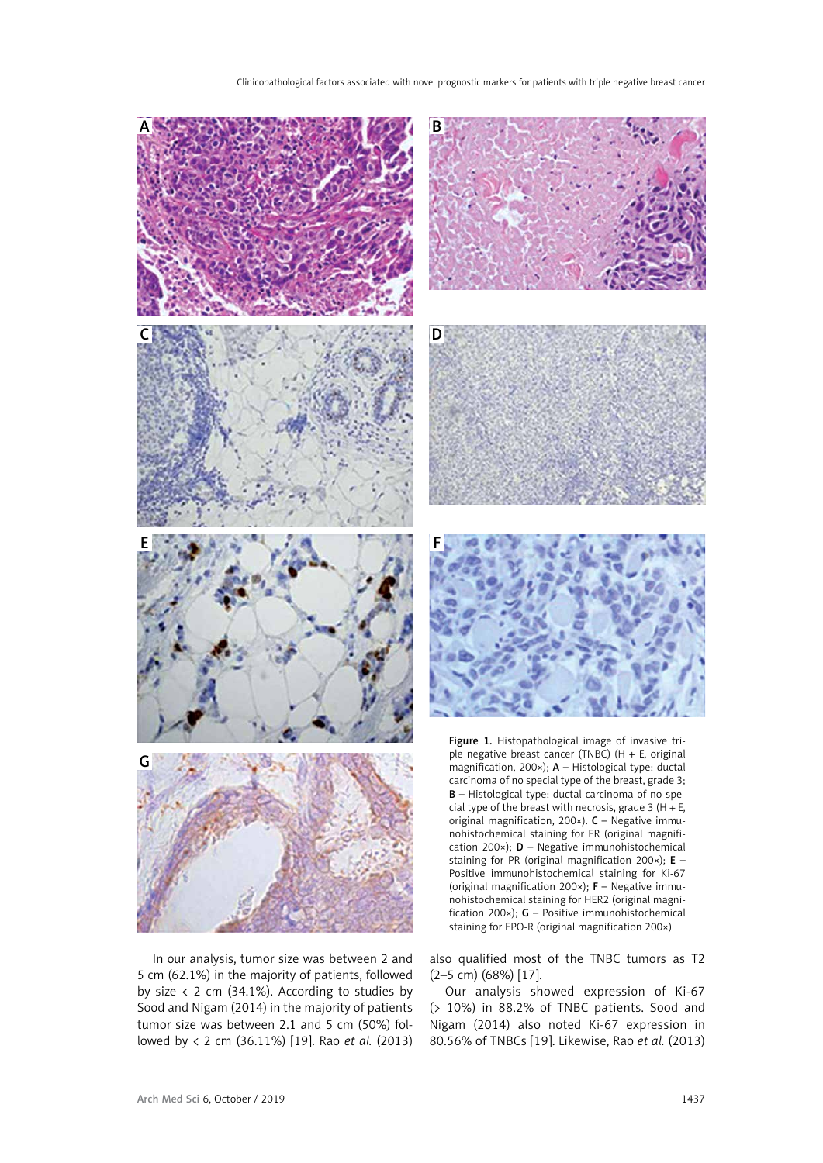

In our analysis, tumor size was between 2 and 5 cm (62.1%) in the majority of patients, followed by size  $\langle$  2 cm (34.1%). According to studies by Sood and Nigam (2014) in the majority of patients tumor size was between 2.1 and 5 cm (50%) followed by < 2 cm (36.11%) [19]. Rao *et al.* (2013) also qualified most of the TNBC tumors as T2 (2–5 cm) (68%) [17].

Our analysis showed expression of Ki-67 (> 10%) in 88.2% of TNBC patients. Sood and Nigam (2014) also noted Ki-67 expression in 80.56% of TNBCs [19]. Likewise, Rao *et al.* (2013)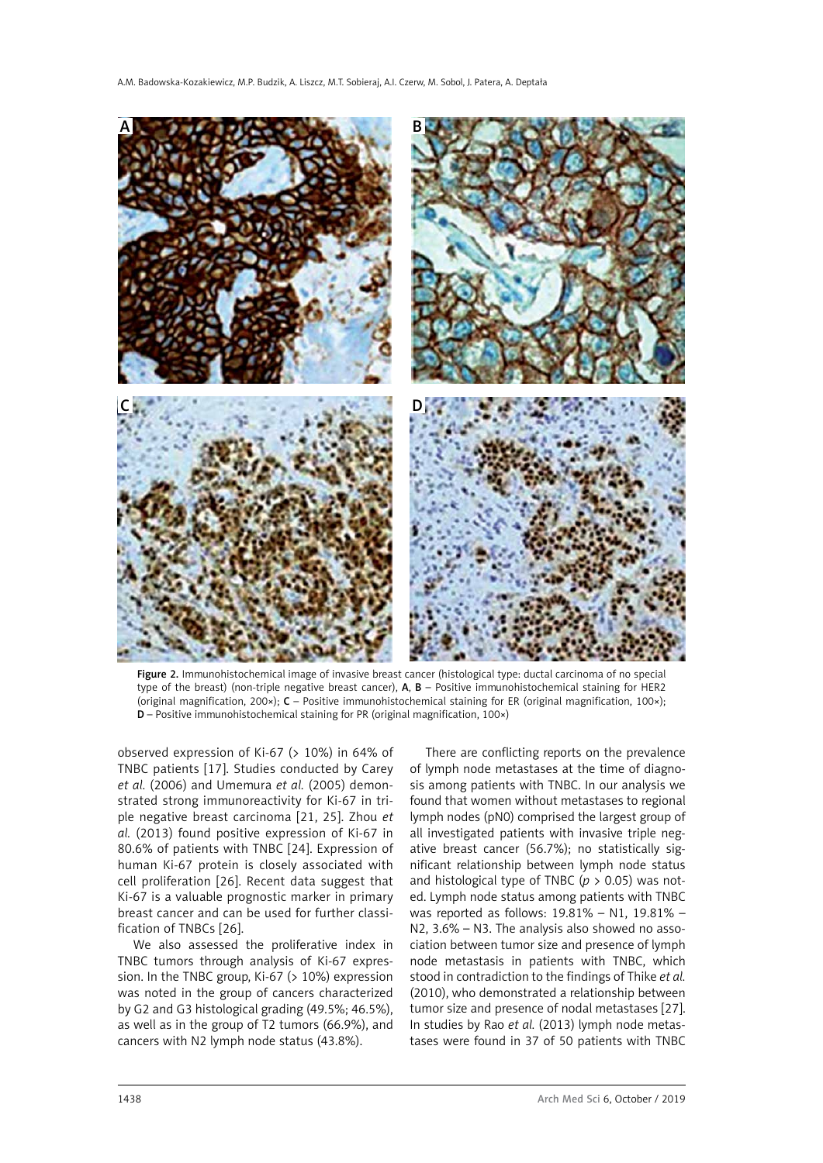

Figure 2. Immunohistochemical image of invasive breast cancer (histological type: ductal carcinoma of no special type of the breast) (non-triple negative breast cancer), A, B – Positive immunohistochemical staining for HER2 (original magnification, 200×); C – Positive immunohistochemical staining for ER (original magnification, 100×); D – Positive immunohistochemical staining for PR (original magnification, 100×)

observed expression of Ki-67 (> 10%) in 64% of TNBC patients [17]. Studies conducted by Carey *et al.* (2006) and Umemura *et al.* (2005) demonstrated strong immunoreactivity for Ki-67 in triple negative breast carcinoma [21, 25]. Zhou *et al.* (2013) found positive expression of Ki-67 in 80.6% of patients with TNBC [24]. Expression of human Ki-67 protein is closely associated with cell proliferation [26]. Recent data suggest that Ki-67 is a valuable prognostic marker in primary breast cancer and can be used for further classification of TNBCs [26].

We also assessed the proliferative index in TNBC tumors through analysis of Ki-67 expression. In the TNBC group, Ki-67 (> 10%) expression was noted in the group of cancers characterized by G2 and G3 histological grading (49.5%; 46.5%), as well as in the group of T2 tumors (66.9%), and cancers with N2 lymph node status (43.8%).

There are conflicting reports on the prevalence of lymph node metastases at the time of diagnosis among patients with TNBC. In our analysis we found that women without metastases to regional lymph nodes (pN0) comprised the largest group of all investigated patients with invasive triple negative breast cancer (56.7%); no statistically significant relationship between lymph node status and histological type of TNBC (*p* > 0.05) was noted. Lymph node status among patients with TNBC was reported as follows: 19.81% – N1, 19.81% – N2, 3.6% – N3. The analysis also showed no association between tumor size and presence of lymph node metastasis in patients with TNBC, which stood in contradiction to the findings of Thike *et al.* (2010), who demonstrated a relationship between tumor size and presence of nodal metastases [27]. In studies by Rao *et al.* (2013) lymph node metastases were found in 37 of 50 patients with TNBC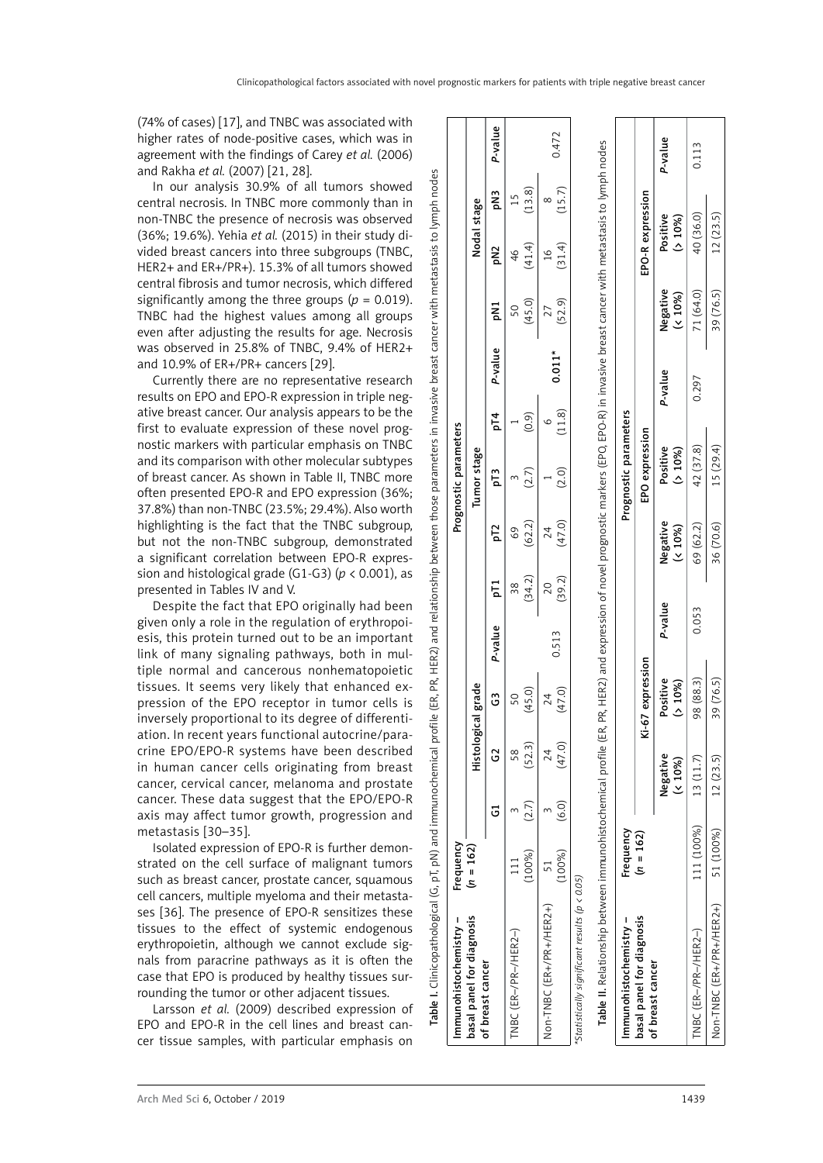nodes

lymph i

 $\overline{5}$ 

metastasis

cancer with

breast

invasive  $\overline{a}$ 

parameters

(74% of cases) [17], and TNBC was associated with higher rates of node-positive cases, which was in agreement with the findings of Carey *et al.* (2006) and Rakha *et al.* (2007) [21, 28].

In our analysis 30.9% of all tumors showed central necrosis. In TNBC more commonly than in non-TNBC the presence of necrosis was observed (36%; 19.6%). Yehia *et al.* (2015) in their study divided breast cancers into three subgroups (TNBC, HER2+ and ER+/PR+). 15.3% of all tumors showed central fibrosis and tumor necrosis, which differed significantly among the three groups ( $p = 0.019$ ). TNBC had the highest values among all groups even after adjusting the results for age. Necrosis was observed in 25.8% of TNBC, 9.4% of HER2+ and 10.9% of ER+/PR+ cancers [29].

Currently there are no representative research results on EPO and EPO-R expression in triple negative breast cancer. Our analysis appears to be the first to evaluate expression of these novel prognostic markers with particular emphasis on TNBC and its comparison with other molecular subtypes of breast cancer. As shown in Table II, TNBC more often presented EPO-R and EPO expression (36%; 37.8%) than non-TNBC (23.5%; 29.4%). Also worth highlighting is the fact that the TNBC subgroup, but not the non-TNBC subgroup, demonstrated a significant correlation between EPO-R expression and histological grade (G1-G3) (*p* < 0.001), as presented in Tables IV and V.

Despite the fact that EPO originally had been given only a role in the regulation of erythropoiesis, this protein turned out to be an important link of many signaling pathways, both in multiple normal and cancerous nonhematopoietic tissues. It seems very likely that enhanced expression of the EPO receptor in tumor cells is inversely proportional to its degree of differentiation. In recent years functional autocrine/paracrine EPO/EPO-R systems have been described in human cancer cells originating from breast cancer, cervical cancer, melanoma and prostate cancer. These data suggest that the EPO/EPO-R axis may affect tumor growth, progression and metastasis [30–35].

Isolated expression of EPO-R is further demonstrated on the cell surface of malignant tumors such as breast cancer, prostate cancer, squamous cell cancers, multiple myeloma and their metastases [36]. The presence of EPO-R sensitizes these tissues to the effect of systemic endogenous erythropoietin, although we cannot exclude signals from paracrine pathways as it is often the case that EPO is produced by healthy tissues surrounding the tumor or other adjacent tissues.

Larsson *et al.* (2009) described expression of EPO and EPO-R in the cell lines and breast cancer tissue samples, with particular emphasis on

| Immunohistochemistry -                                                                                      | Frequency   |                         |                    |                    |         |                          |                                                                                                                                 | Prognostic parameters |             |          |                           |                         |             |         |
|-------------------------------------------------------------------------------------------------------------|-------------|-------------------------|--------------------|--------------------|---------|--------------------------|---------------------------------------------------------------------------------------------------------------------------------|-----------------------|-------------|----------|---------------------------|-------------------------|-------------|---------|
| basal panel for diagnosis<br>of breast cancer                                                               | $(n = 162)$ |                         | Histological grade |                    |         |                          |                                                                                                                                 | Tumor stage           |             |          |                           | Nodal stage             |             |         |
|                                                                                                             |             | ت                       | G                  | G                  | P-value | БT<br>Д                  | pT2                                                                                                                             | рT3                   | pT4         | P-value  | <b>DN1</b>                | <b>DN2</b>              | pN3         | P-value |
| TNBC (ER-/PR-/HER2-)                                                                                        | (100%)      | (2.7)                   | (52.3)<br>თ<br>ი   | (45.0)<br>50       |         | (34.2)<br>38             | (62.2)<br>$^{69}$                                                                                                               | (2.7)                 | (0.9)       |          | (45.0)<br>$\overline{50}$ | (41.4)<br>46            | (13.8)      |         |
| Non-TNBC (ER+/PR+/HER2+)                                                                                    | (100%)      | (6.0)                   | (47.0)<br>24       | (47.0)<br>24       | 0.513   | (39.2)<br>$\overline{c}$ | (47.0)<br>24                                                                                                                    | (2.0)                 | (11.8)<br>c | $0.011*$ | (52.9)<br>27              | (31.4)<br>$\frac{6}{1}$ | (15.7)<br>∝ | 0.472   |
| Table II. Relationship between immunohistochemical profile<br>'Statistically significant results (p < 0.05) |             |                         |                    |                    |         |                          | (ER, PR, HER2) and expression of novel prognostic markers (EPO, EPO-R) in invasive breast cancer with metastasis to lymph nodes |                       |             |          |                           |                         |             |         |
| Immunohistochemistry –                                                                                      | Frequency   |                         |                    |                    |         |                          |                                                                                                                                 | Prognostic parameters |             |          |                           |                         |             |         |
| basal panel for diagnosis<br>of breast cancer                                                               | $(n = 162)$ |                         |                    | Ki-67 expression   |         |                          |                                                                                                                                 | EPO expression        |             |          |                           | EPO-R expression        |             |         |
|                                                                                                             |             | Negative<br>$(5, 10\%)$ |                    | Positive<br>(510%) | P-value |                          | Negative<br>(5.10%                                                                                                              | Positive<br>(510%)    |             | P-value  | Negative<br>(5.10%        | Positive<br>(510%)      |             | P-value |

Table I. Clinicopathological (G, pT, pN) and immunochemical profile (ER, PR, HER2) and relationship between those parameters in invasive breast cancer with metastasis to lymph nodes

HER2) PĈ,

ŒŘ,

profile

immunochemical

and

pT, pN) a  $\circ$ 

Table I. Clinicopathological

and relationship between those

TNBC (ER–/PR–/HER2–) 111 (100%) 13 (11.7) 98 (88.3) 0.053 69 (62.2) 42 (37.8) 0.297 71 (64.0) 40 (36.0) 0.113

0.053

98 (88.3)  $(76.5)$ 

13 (11.7)  $\sqrt{2}$  $(23)$  $12$ 

111 (100%)

51 (100%)

Non-TNBC (ER+/PR+/HER2+) TNBC (ER-/PR-/HER2-)

69 (62.2) 36 (70.6)

0.113

40 (36.0)  $12(23.5)$ 

71 (64.0)  $\overline{5}$ 

0.297

 $\widehat{\infty}$ 15 (29.4) 42 (37.8

39 (76.

Non-TNBC (ER+/PR+/HER2+) 51 (100%) 12 (23.5) 39 (76.5) 36 (70.6) 15 (29.4) 39 (76.5) 12 (23.5)

 $\frac{5}{2}$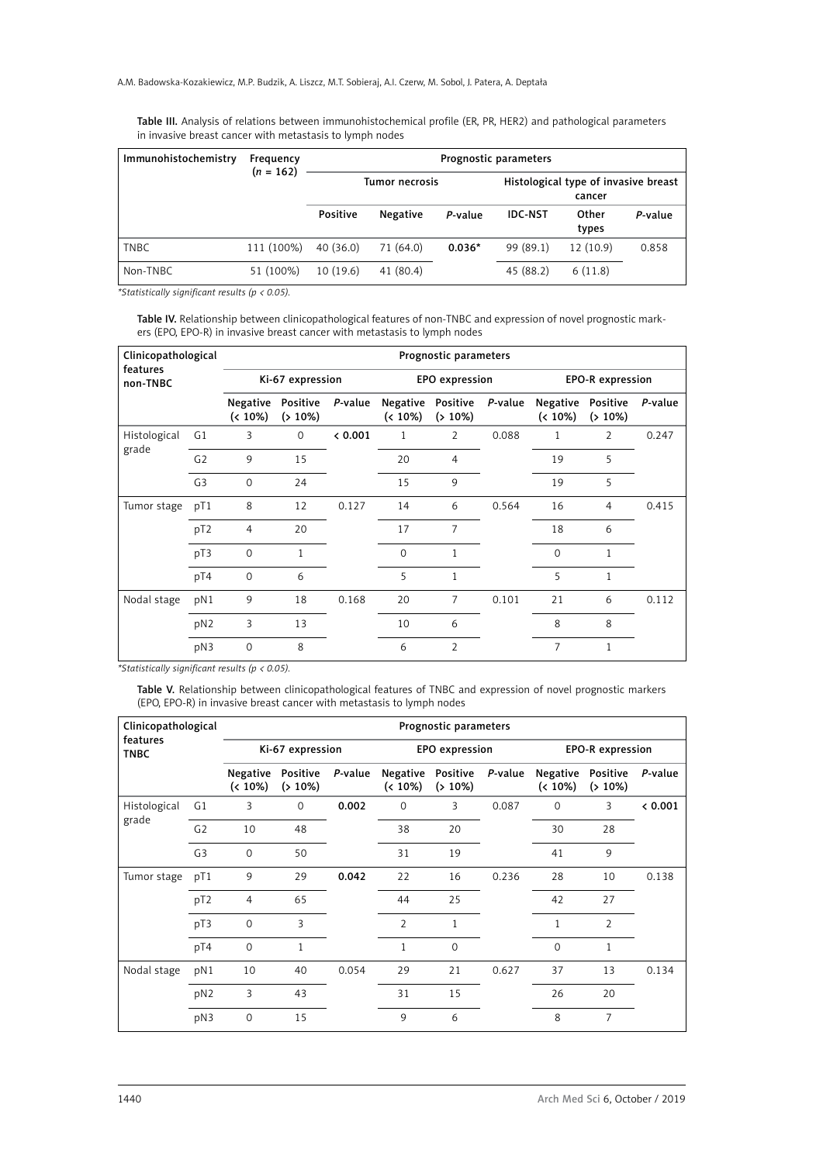Table III. Analysis of relations between immunohistochemical profile (ER, PR, HER2) and pathological parameters in invasive breast cancer with metastasis to lymph nodes

| Immunohistochemistry | Frequency<br>$(n = 162)$ |                 |                 |          | Prognostic parameters |                                                |         |
|----------------------|--------------------------|-----------------|-----------------|----------|-----------------------|------------------------------------------------|---------|
|                      |                          |                 | Tumor necrosis  |          |                       | Histological type of invasive breast<br>cancer |         |
|                      |                          | <b>Positive</b> | <b>Negative</b> | P-value  | <b>IDC-NST</b>        | Other<br>types                                 | P-value |
| <b>TNBC</b>          | 111 (100%)               | 40(36.0)        | 71 (64.0)       | $0.036*$ | 99 (89.1)             | 12 (10.9)                                      | 0.858   |
| Non-TNBC             | 51 (100%)                | 10(19.6)        | 41 (80.4)       |          | 45 (88.2)             | 6(11.8)                                        |         |

*\*Statistically significant results (p < 0.05).*

Table IV. Relationship between clinicopathological features of non-TNBC and expression of novel prognostic markers (EPO, EPO-R) in invasive breast cancer with metastasis to lymph nodes

| Clinicopathological<br>features |                 |                                 |                  |         |                                    | Prognostic parameters |         |                        |                         |         |
|---------------------------------|-----------------|---------------------------------|------------------|---------|------------------------------------|-----------------------|---------|------------------------|-------------------------|---------|
| non-TNBC                        |                 |                                 | Ki-67 expression |         |                                    | EPO expression        |         |                        | <b>EPO-R</b> expression |         |
|                                 |                 | Negative Positive<br>$(< 10\%)$ | $( > 10\%)$      | P-value | Negative Positive<br>$($ ( $10\%)$ | $( > 10\%)$           | P-value | Negative<br>$(< 10\%)$ | Positive<br>$( > 10\%)$ | P-value |
| Histological                    | G1              | 3                               | $\mathbf 0$      | 0.001   | $\mathbf{1}$                       | $\overline{2}$        | 0.088   | 1                      | 2                       | 0.247   |
| grade                           | G <sub>2</sub>  | 9                               | 15               |         | 20                                 | $\overline{4}$        |         | 19                     | 5                       |         |
|                                 | G <sub>3</sub>  | $\Omega$                        | 24               |         | 15                                 | 9                     |         | 19                     | 5                       |         |
| Tumor stage                     | pT1             | 8                               | 12               | 0.127   | 14                                 | 6                     | 0.564   | 16                     | 4                       | 0.415   |
|                                 | pT <sub>2</sub> | 4                               | 20               |         | 17                                 | 7                     |         | 18                     | 6                       |         |
|                                 | pT3             | $\mathbf 0$                     | $\mathbf{1}$     |         | $\Omega$                           | 1                     |         | $\Omega$               | 1                       |         |
|                                 | pT4             | $\Omega$                        | 6                |         | 5                                  | 1                     |         | 5                      | 1                       |         |
| Nodal stage                     | pN1             | 9                               | 18               | 0.168   | 20                                 | $\overline{7}$        | 0.101   | 21                     | 6                       | 0.112   |
|                                 | pN2             | 3                               | 13               |         | 10                                 | 6                     |         | 8                      | 8                       |         |
|                                 | pN3             | $\mathbf 0$                     | 8                |         | 6                                  | $\overline{2}$        |         | $\overline{7}$         | $\mathbf{1}$            |         |

*\*Statistically significant results (p < 0.05).*

Table V. Relationship between clinicopathological features of TNBC and expression of novel prognostic markers (EPO, EPO-R) in invasive breast cancer with metastasis to lymph nodes

| Clinicopathological<br>features |                 |                           |                         |         |                        | Prognostic parameters   |         |                           |                         |         |
|---------------------------------|-----------------|---------------------------|-------------------------|---------|------------------------|-------------------------|---------|---------------------------|-------------------------|---------|
| <b>TNBC</b>                     |                 |                           | Ki-67 expression        |         |                        | EPO expression          |         |                           | <b>EPO-R</b> expression |         |
|                                 |                 | Negative<br>$($ ( $10\%)$ | Positive<br>$( > 10\%)$ | P-value | Negative<br>$(< 10\%)$ | Positive<br>$( > 10\%)$ | P-value | Negative<br>$($ ( $10\%)$ | Positive<br>$( > 10\%)$ | P-value |
| Histological                    | G <sub>1</sub>  | 3                         | $\Omega$                | 0.002   | $\Omega$               | 3                       | 0.087   | $\Omega$                  | 3                       | & 0.001 |
| grade                           | G <sub>2</sub>  | 10                        | 48                      |         | 38                     | 20                      |         | 30                        | 28                      |         |
|                                 | G <sub>3</sub>  | $\Omega$                  | 50                      |         | 31                     | 19                      |         | 41                        | 9                       |         |
| Tumor stage                     | pT1             | 9                         | 29                      | 0.042   | 22                     | 16                      | 0.236   | 28                        | 10                      | 0.138   |
|                                 | pT <sub>2</sub> | $\overline{4}$            | 65                      |         | 44                     | 25                      |         | 42                        | 27                      |         |
|                                 | pT3             | $\mathbf 0$               | 3                       |         | $\overline{2}$         | 1                       |         | 1                         | 2                       |         |
|                                 | pT4             | $\Omega$                  | $\mathbf{1}$            |         | 1                      | $\Omega$                |         | $\Omega$                  | 1                       |         |
| Nodal stage                     | pN1             | 10                        | 40                      | 0.054   | 29                     | 21                      | 0.627   | 37                        | 13                      | 0.134   |
|                                 | pN2             | 3                         | 43                      |         | 31                     | 15                      |         | 26                        | 20                      |         |
|                                 | pN3             | $\mathbf 0$               | 15                      |         | 9                      | 6                       |         | 8                         | 7                       |         |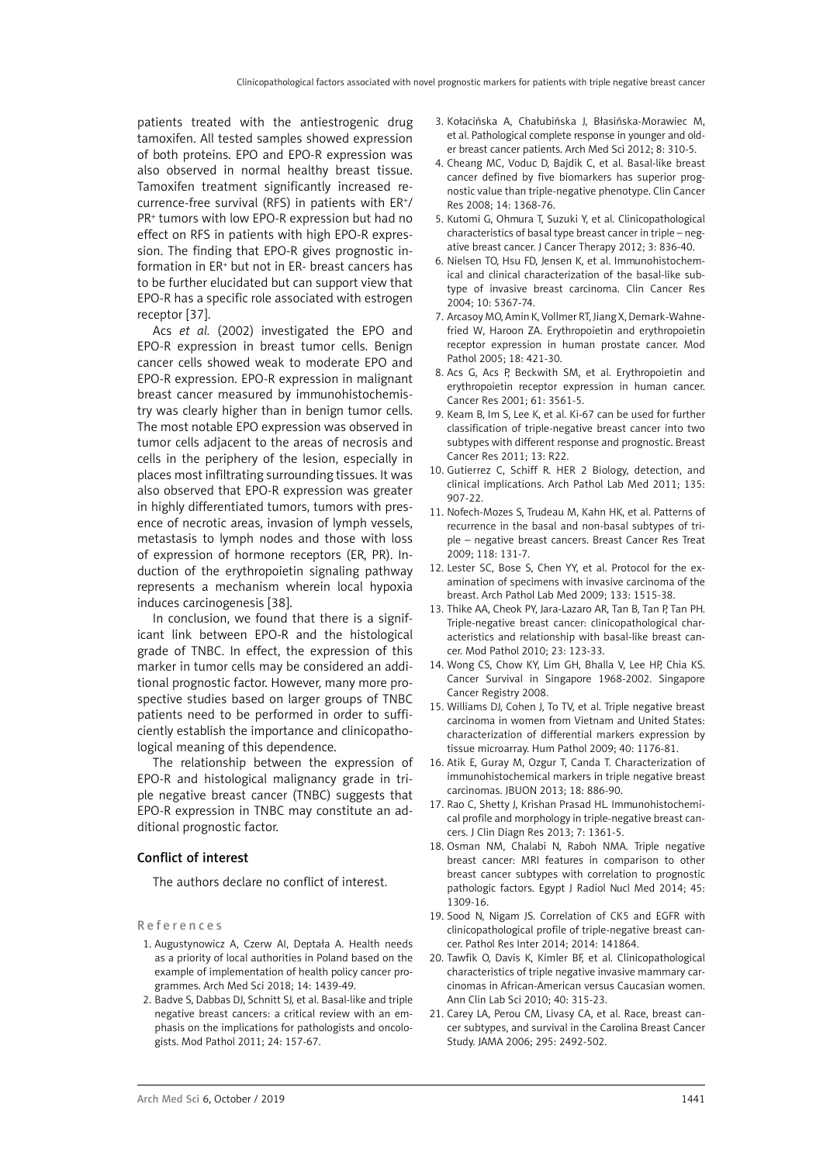patients treated with the antiestrogenic drug tamoxifen. All tested samples showed expression of both proteins. EPO and EPO-R expression was also observed in normal healthy breast tissue. Tamoxifen treatment significantly increased recurrence-free survival (RFS) in patients with ER+/ PR<sup>+</sup> tumors with low EPO-R expression but had no effect on RFS in patients with high EPO-R expression. The finding that EPO-R gives prognostic information in ER+ but not in ER- breast cancers has to be further elucidated but can support view that EPO-R has a specific role associated with estrogen receptor [37].

Acs *et al.* (2002) investigated the EPO and EPO-R expression in breast tumor cells. Benign cancer cells showed weak to moderate EPO and EPO-R expression. EPO-R expression in malignant breast cancer measured by immunohistochemistry was clearly higher than in benign tumor cells. The most notable EPO expression was observed in tumor cells adjacent to the areas of necrosis and cells in the periphery of the lesion, especially in places most infiltrating surrounding tissues. It was also observed that EPO-R expression was greater in highly differentiated tumors, tumors with presence of necrotic areas, invasion of lymph vessels, metastasis to lymph nodes and those with loss of expression of hormone receptors (ER, PR). Induction of the erythropoietin signaling pathway represents a mechanism wherein local hypoxia induces carcinogenesis [38].

In conclusion, we found that there is a significant link between EPO-R and the histological grade of TNBC. In effect, the expression of this marker in tumor cells may be considered an additional prognostic factor. However, many more prospective studies based on larger groups of TNBC patients need to be performed in order to sufficiently establish the importance and clinicopathological meaning of this dependence.

The relationship between the expression of EPO-R and histological malignancy grade in triple negative breast cancer (TNBC) suggests that EPO-R expression in TNBC may constitute an additional prognostic factor.

# Conflict of interest

The authors declare no conflict of interest.

#### References

- 1. Augustynowicz A, Czerw AI, Deptała A. Health needs as a priority of local authorities in Poland based on the example of implementation of health policy cancer programmes. Arch Med Sci 2018; 14: 1439-49.
- 2. Badve S, Dabbas DJ, Schnitt SJ, et al. Basal-like and triple negative breast cancers: a critical review with an emphasis on the implications for pathologists and oncologists. Mod Pathol 2011; 24: 157-67.
- 3. Kołacińska A, Chałubińska J, Błasińska-Morawiec M, et al. Pathological complete response in younger and older breast cancer patients. Arch Med Sci 2012; 8: 310-5.
- 4. Cheang MC, Voduc D, Bajdik C, et al. Basal-like breast cancer defined by five biomarkers has superior prognostic value than triple-negative phenotype. Clin Cancer Res 2008; 14: 1368-76.
- 5. Kutomi G, Ohmura T, Suzuki Y, et al. Clinicopathological characteristics of basal type breast cancer in triple – negative breast cancer. J Cancer Therapy 2012; 3: 836-40.
- 6. Nielsen TO, Hsu FD, Jensen K, et al. Immunohistochemical and clinical characterization of the basal-like subtype of invasive breast carcinoma. Clin Cancer Res 2004; 10: 5367-74.
- 7. Arcasoy MO, Amin K, Vollmer RT, Jiang X, Demark-Wahnefried W, Haroon ZA. Erythropoietin and erythropoietin receptor expression in human prostate cancer. Mod Pathol 2005; 18: 421-30.
- 8. Acs G, Acs P, Beckwith SM, et al. Erythropoietin and erythropoietin receptor expression in human cancer. Cancer Res 2001; 61: 3561-5.
- 9. Keam B, Im S, Lee K, et al. Ki-67 can be used for further classification of triple-negative breast cancer into two subtypes with different response and prognostic. Breast Cancer Res 2011; 13: R22.
- 10. Gutierrez C, Schiff R. HER 2 Biology, detection, and clinical implications. Arch Pathol Lab Med 2011; 135: 907-22.
- 11. Nofech-Mozes S, Trudeau M, Kahn HK, et al. Patterns of recurrence in the basal and non-basal subtypes of triple – negative breast cancers. Breast Cancer Res Treat 2009; 118: 131-7.
- 12. Lester SC, Bose S, Chen YY, et al. Protocol for the examination of specimens with invasive carcinoma of the breast. Arch Pathol Lab Med 2009; 133: 1515-38.
- 13. Thike AA, Cheok PY, Jara-Lazaro AR, Tan B, Tan P, Tan PH. Triple-negative breast cancer: clinicopathological characteristics and relationship with basal-like breast cancer. Mod Pathol 2010; 23: 123-33.
- 14. Wong CS, Chow KY, Lim GH, Bhalla V, Lee HP, Chia KS. Cancer Survival in Singapore 1968-2002. Singapore Cancer Registry 2008.
- 15. Williams DJ, Cohen J, To TV, et al. Triple negative breast carcinoma in women from Vietnam and United States: characterization of differential markers expression by tissue microarray. Hum Pathol 2009; 40: 1176-81.
- 16. Atik E, Guray M, Ozgur T, Canda T. Characterization of immunohistochemical markers in triple negative breast carcinomas. JBUON 2013; 18: 886-90.
- 17. Rao C, Shetty J, Krishan Prasad HL. Immunohistochemical profile and morphology in triple-negative breast cancers. J Clin Diagn Res 2013; 7: 1361-5.
- 18. Osman NM, Chalabi N, Raboh NMA. Triple negative breast cancer: MRI features in comparison to other breast cancer subtypes with correlation to prognostic pathologic factors. Egypt J Radiol Nucl Med 2014; 45: 1309-16.
- 19. Sood N, Nigam JS. Correlation of CK5 and EGFR with clinicopathological profile of triple-negative breast cancer. Pathol Res Inter 2014; 2014: 141864.
- 20. Tawfik O, Davis K, Kimler BF, et al. Clinicopathological characteristics of triple negative invasive mammary carcinomas in African-American versus Caucasian women. Ann Clin Lab Sci 2010; 40: 315-23.
- 21. Carey LA, Perou CM, Livasy CA, et al. Race, breast cancer subtypes, and survival in the Carolina Breast Cancer Study. JAMA 2006; 295: 2492-502.